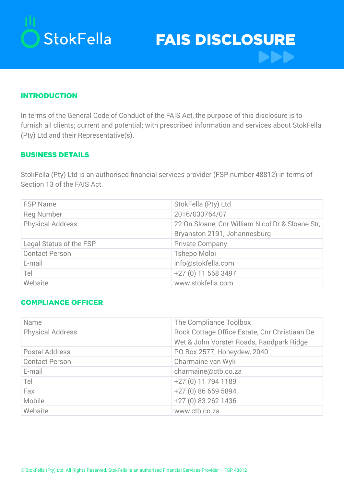

FAIS DISCLOSURE **DDD** 

#### INTRODUCTION

In terms of the General Code of Conduct of the FAIS Act, the purpose of this disclosure is to furnish all clients; current and potential; with prescribed information and services about StokFella (Pty) Ltd and their Representative(s).

#### BUSINESS DETAILS

StokFella (Pty) Ltd is an authorised financial services provider (FSP number 48812) in terms of Section 13 of the FAIS Act.

| <b>FSP Name</b>         | StokFella (Pty) Ltd                              |
|-------------------------|--------------------------------------------------|
| <b>Reg Number</b>       | 2016/033764/07                                   |
| <b>Physical Address</b> | 22 On Sloane, Cnr William Nicol Dr & Sloane Str, |
|                         | Bryanston 2191, Johannesburg                     |
| Legal Status of the FSP | <b>Private Company</b>                           |
| <b>Contact Person</b>   | <b>Tshepo Moloi</b>                              |
| E-mail                  | info@stokfella.com                               |
| Tel                     | +27 (0) 11 568 3497                              |
| Website                 | www.stokfella.com                                |

### COMPLIANCE OFFICER

| Name                    | The Compliance Toolbox                        |
|-------------------------|-----------------------------------------------|
| <b>Physical Address</b> | Rock Cottage Office Estate, Cnr Christiaan De |
|                         | Wet & John Vorster Roads, Randpark Ridge      |
| Postal Address          | PO Box 2577, Honeydew, 2040                   |
| <b>Contact Person</b>   | Charmaine van Wyk                             |
| E-mail                  | charmaine@ctb.co.za                           |
| Tel                     | +27 (0) 11 794 1189                           |
| Fax                     | +27 (0) 86 659 5894                           |
| Mobile                  | +27 (0) 83 262 1436                           |
| Website                 | www.ctb.co.za                                 |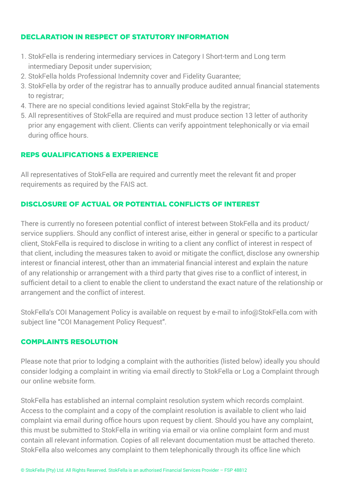## Declaration in respect of statutory information

- 1. StokFella is rendering intermediary services in Category I Short-term and Long term intermediary Deposit under supervision;
- 2. StokFella holds Professional Indemnity cover and Fidelity Guarantee;
- 3. StokFella by order of the registrar has to annually produce audited annual financial statements to registrar;
- 4. There are no special conditions levied against StokFella by the registrar;
- 5. All representitives of StokFella are required and must produce section 13 letter of authority prior any engagement with client. Clients can verify appointment telephonically or via email during office hours.

## Reps Qualifications & experience

All representatives of StokFella are required and currently meet the relevant fit and proper requirements as required by the FAIS act.

## Disclosure of Actual or Potential Conflicts of Interest

There is currently no foreseen potential conflict of interest between StokFella and its product/ service suppliers. Should any conflict of interest arise, either in general or specific to a particular client, StokFella is required to disclose in writing to a client any conflict of interest in respect of that client, including the measures taken to avoid or mitigate the conflict, disclose any ownership interest or financial interest, other than an immaterial financial interest and explain the nature of any relationship or arrangement with a third party that gives rise to a conflict of interest, in sufficient detail to a client to enable the client to understand the exact nature of the relationship or arrangement and the conflict of interest.

StokFella's COI Management Policy is available on request by e-mail to info@StokFella.com with subject line "COI Management Policy Request".

### Complaints Resolution

Please note that prior to lodging a complaint with the authorities (listed below) ideally you should consider lodging a complaint in writing via email directly to StokFella or Log a Complaint through our online website form.

StokFella has established an internal complaint resolution system which records complaint. Access to the complaint and a copy of the complaint resolution is available to client who laid complaint via email during office hours upon request by client. Should you have any complaint, this must be submitted to StokFella in writing via email or via online complaint form and must contain all relevant information. Copies of all relevant documentation must be attached thereto. StokFella also welcomes any complaint to them telephonically through its office line which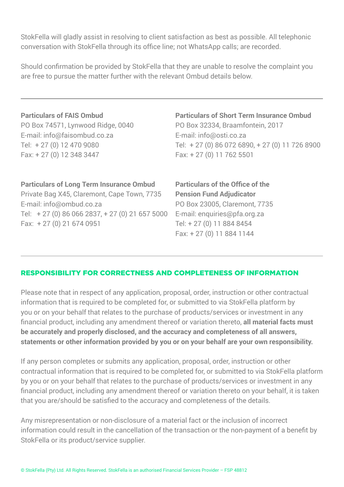StokFella will gladly assist in resolving to client satisfaction as best as possible. All telephonic conversation with StokFella through its office line; not WhatsApp calls; are recorded.

Should confirmation be provided by StokFella that they are unable to resolve the complaint you are free to pursue the matter further with the relevant Ombud details below.

## **Particulars of FAIS Ombud**

PO Box 74571, Lynwood Ridge, 0040 E-mail: info@faisombud.co.za Tel: + 27 (0) 12 470 9080 Fax: + 27 (0) 12 348 3447

# **Particulars of Long Term Insurance Ombud**

Private Bag X45, Claremont, Cape Town, 7735 E-mail: info@ombud.co.za Tel: + 27 (0) 86 066 2837, + 27 (0) 21 657 5000 Fax: + 27 (0) 21 674 0951

## **Particulars of Short Term Insurance Ombud** PO Box 32334, Braamfontein, 2017 E-mail: info@osti.co.za

Tel: + 27 (0) 86 072 6890, + 27 (0) 11 726 8900 Fax: + 27 (0) 11 762 5501

**Particulars of the Office of the Pension Fund Adjudicator**  PO Box 23005, Claremont, 7735 E-mail: enquiries@pfa.org.za Tel: + 27 (0) 11 884 8454 Fax: + 27 (0) 11 884 1144

## Responsibility for Correctness and Completeness of Information

Please note that in respect of any application, proposal, order, instruction or other contractual information that is required to be completed for, or submitted to via StokFella platform by you or on your behalf that relates to the purchase of products/services or investment in any financial product, including any amendment thereof or variation thereto, **all material facts must be accurately and properly disclosed, and the accuracy and completeness of all answers, statements or other information provided by you or on your behalf are your own responsibility.**

If any person completes or submits any application, proposal, order, instruction or other contractual information that is required to be completed for, or submitted to via StokFella platform by you or on your behalf that relates to the purchase of products/services or investment in any financial product, including any amendment thereof or variation thereto on your behalf, it is taken that you are/should be satisfied to the accuracy and completeness of the details.

Any misrepresentation or non-disclosure of a material fact or the inclusion of incorrect information could result in the cancellation of the transaction or the non-payment of a benefit by StokFella or its product/service supplier.